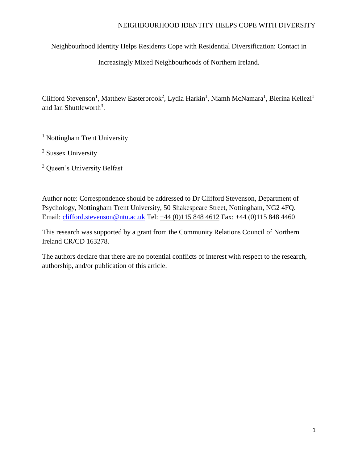Neighbourhood Identity Helps Residents Cope with Residential Diversification: Contact in

Increasingly Mixed Neighbourhoods of Northern Ireland.

Clifford Stevenson<sup>1</sup>, Matthew Easterbrook<sup>2</sup>, Lydia Harkin<sup>1</sup>, Niamh McNamara<sup>1</sup>, Blerina Kellezi<sup>1</sup> and Ian Shuttleworth<sup>3</sup>.

<sup>1</sup> Nottingham Trent University

<sup>2</sup> Sussex University

<sup>3</sup> Queen's University Belfast

Author note: Correspondence should be addressed to Dr Clifford Stevenson, Department of Psychology, Nottingham Trent University, 50 Shakespeare Street, Nottingham, NG2 4FQ. Email: [clifford.stevenson@ntu.ac.uk](mailto:clifford.stevenson@ntu.ac.uk) Tel: [+44 \(0\)115 848 4612](tel:00441158484612) Fax: +44 (0)115 848 4460

This research was supported by a grant from the Community Relations Council of Northern Ireland CR/CD 163278.

The authors declare that there are no potential conflicts of interest with respect to the research, authorship, and/or publication of this article.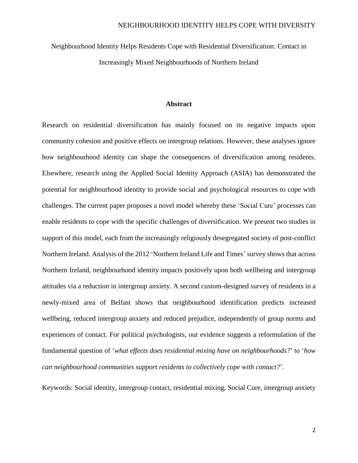Neighbourhood Identity Helps Residents Cope with Residential Diversification: Contact in Increasingly Mixed Neighbourhoods of Northern Ireland

# **Abstract**

Research on residential diversification has mainly focused on its negative impacts upon community cohesion and positive effects on intergroup relations. However, these analyses ignore how neighbourhood identity can shape the consequences of diversification among residents. Elsewhere, research using the Applied Social Identity Approach (ASIA) has demonstrated the potential for neighbourhood identity to provide social and psychological resources to cope with challenges. The current paper proposes a novel model whereby these 'Social Cure' processes can enable residents to cope with the specific challenges of diversification. We present two studies in support of this model, each from the increasingly religiously desegregated society of post-conflict Northern Ireland. Analysis of the 2012 'Northern Ireland Life and Times' survey shows that across Northern Ireland, neighbourhood identity impacts positively upon both wellbeing and intergroup attitudes via a reduction in intergroup anxiety. A second custom-designed survey of residents in a newly-mixed area of Belfast shows that neighbourhood identification predicts increased wellbeing, reduced intergroup anxiety and reduced prejudice, independently of group norms and experiences of contact. For political psychologists, our evidence suggests a reformulation of the fundamental question of '*what effects does residential mixing have on neighbourhoods?*' to '*how can neighbourhood communities support residents to collectively cope with contact?*'.

Keywords: Social identity, intergroup contact, residential mixing, Social Cure, intergroup anxiety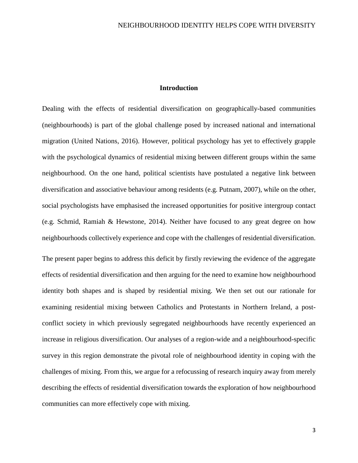# **Introduction**

Dealing with the effects of residential diversification on geographically-based communities (neighbourhoods) is part of the global challenge posed by increased national and international migration (United Nations, 2016). However, political psychology has yet to effectively grapple with the psychological dynamics of residential mixing between different groups within the same neighbourhood. On the one hand, political scientists have postulated a negative link between diversification and associative behaviour among residents (e.g. Putnam, 2007), while on the other, social psychologists have emphasised the increased opportunities for positive intergroup contact (e.g. Schmid, Ramiah & Hewstone, 2014). Neither have focused to any great degree on how neighbourhoods collectively experience and cope with the challenges of residential diversification.

The present paper begins to address this deficit by firstly reviewing the evidence of the aggregate effects of residential diversification and then arguing for the need to examine how neighbourhood identity both shapes and is shaped by residential mixing. We then set out our rationale for examining residential mixing between Catholics and Protestants in Northern Ireland, a postconflict society in which previously segregated neighbourhoods have recently experienced an increase in religious diversification. Our analyses of a region-wide and a neighbourhood-specific survey in this region demonstrate the pivotal role of neighbourhood identity in coping with the challenges of mixing. From this, we argue for a refocussing of research inquiry away from merely describing the effects of residential diversification towards the exploration of how neighbourhood communities can more effectively cope with mixing.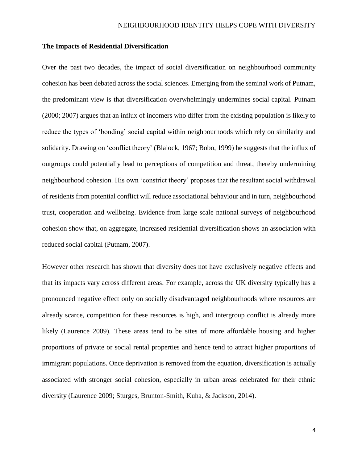### **The Impacts of Residential Diversification**

Over the past two decades, the impact of social diversification on neighbourhood community cohesion has been debated across the social sciences. Emerging from the seminal work of Putnam, the predominant view is that diversification overwhelmingly undermines social capital. Putnam (2000; 2007) argues that an influx of incomers who differ from the existing population is likely to reduce the types of 'bonding' social capital within neighbourhoods which rely on similarity and solidarity. Drawing on 'conflict theory' (Blalock, 1967; Bobo, 1999) he suggests that the influx of outgroups could potentially lead to perceptions of competition and threat, thereby undermining neighbourhood cohesion. His own 'constrict theory' proposes that the resultant social withdrawal of residents from potential conflict will reduce associational behaviour and in turn, neighbourhood trust, cooperation and wellbeing. Evidence from large scale national surveys of neighbourhood cohesion show that, on aggregate, increased residential diversification shows an association with reduced social capital (Putnam, 2007).

However other research has shown that diversity does not have exclusively negative effects and that its impacts vary across different areas. For example, across the UK diversity typically has a pronounced negative effect only on socially disadvantaged neighbourhoods where resources are already scarce, competition for these resources is high, and intergroup conflict is already more likely (Laurence 2009). These areas tend to be sites of more affordable housing and higher proportions of private or social rental properties and hence tend to attract higher proportions of immigrant populations. Once deprivation is removed from the equation, diversification is actually associated with stronger social cohesion, especially in urban areas celebrated for their ethnic diversity (Laurence 2009; Sturges, Brunton-Smith, Kuha, & Jackson, 2014).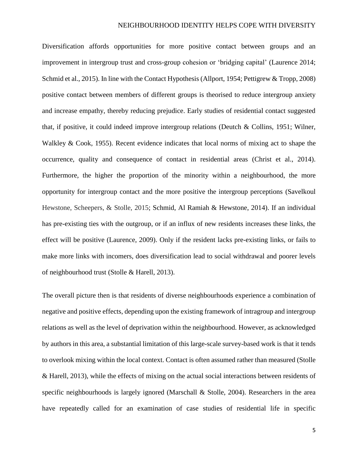Diversification affords opportunities for more positive contact between groups and an improvement in intergroup trust and cross-group cohesion or 'bridging capital' (Laurence 2014; Schmid et al., 2015). In line with the Contact Hypothesis (Allport, 1954; Pettigrew & Tropp, 2008) positive contact between members of different groups is theorised to reduce intergroup anxiety and increase empathy, thereby reducing prejudice. Early studies of residential contact suggested that, if positive, it could indeed improve intergroup relations (Deutch & Collins, 1951; Wilner, Walkley & Cook, 1955). Recent evidence indicates that local norms of mixing act to shape the occurrence, quality and consequence of contact in residential areas (Christ et al., 2014). Furthermore, the higher the proportion of the minority within a neighbourhood, the more opportunity for intergroup contact and the more positive the intergroup perceptions (Savelkoul Hewstone, Scheepers, & Stolle, 2015; Schmid, Al Ramiah & Hewstone, 2014). If an individual has pre-existing ties with the outgroup, or if an influx of new residents increases these links, the effect will be positive (Laurence, 2009). Only if the resident lacks pre-existing links, or fails to make more links with incomers, does diversification lead to social withdrawal and poorer levels of neighbourhood trust (Stolle & Harell, 2013).

The overall picture then is that residents of diverse neighbourhoods experience a combination of negative and positive effects, depending upon the existing framework of intragroup and intergroup relations as well as the level of deprivation within the neighbourhood. However, as acknowledged by authors in this area, a substantial limitation of this large-scale survey-based work is that it tends to overlook mixing within the local context. Contact is often assumed rather than measured (Stolle & Harell, 2013), while the effects of mixing on the actual social interactions between residents of specific neighbourhoods is largely ignored (Marschall & Stolle, 2004). Researchers in the area have repeatedly called for an examination of case studies of residential life in specific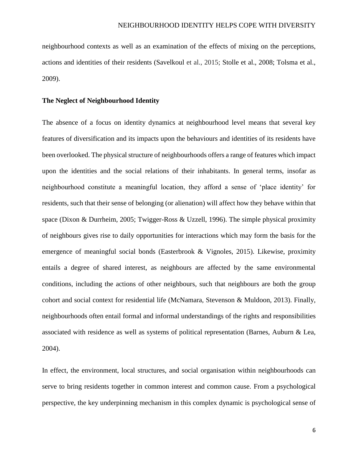neighbourhood contexts as well as an examination of the effects of mixing on the perceptions, actions and identities of their residents (Savelkoul et al., 2015; Stolle et al., 2008; Tolsma et al., 2009).

#### **The Neglect of Neighbourhood Identity**

The absence of a focus on identity dynamics at neighbourhood level means that several key features of diversification and its impacts upon the behaviours and identities of its residents have been overlooked. The physical structure of neighbourhoods offers a range of features which impact upon the identities and the social relations of their inhabitants. In general terms, insofar as neighbourhood constitute a meaningful location, they afford a sense of 'place identity' for residents, such that their sense of belonging (or alienation) will affect how they behave within that space (Dixon & Durrheim, 2005; Twigger-Ross & Uzzell, 1996). The simple physical proximity of neighbours gives rise to daily opportunities for interactions which may form the basis for the emergence of meaningful social bonds (Easterbrook & Vignoles, 2015). Likewise, proximity entails a degree of shared interest, as neighbours are affected by the same environmental conditions, including the actions of other neighbours, such that neighbours are both the group cohort and social context for residential life (McNamara, Stevenson & Muldoon, 2013). Finally, neighbourhoods often entail formal and informal understandings of the rights and responsibilities associated with residence as well as systems of political representation (Barnes, Auburn & Lea, 2004).

In effect, the environment, local structures, and social organisation within neighbourhoods can serve to bring residents together in common interest and common cause. From a psychological perspective, the key underpinning mechanism in this complex dynamic is psychological sense of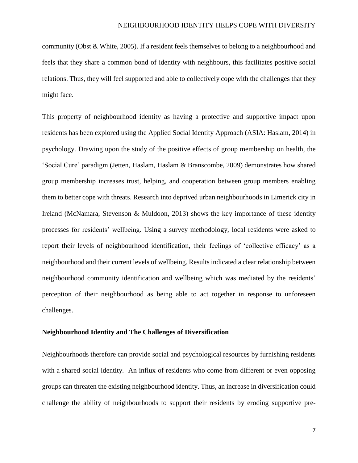community (Obst & White, 2005). If a resident feels themselves to belong to a neighbourhood and feels that they share a common bond of identity with neighbours, this facilitates positive social relations. Thus, they will feel supported and able to collectively cope with the challenges that they might face.

This property of neighbourhood identity as having a protective and supportive impact upon residents has been explored using the Applied Social Identity Approach (ASIA: Haslam, 2014) in psychology. Drawing upon the study of the positive effects of group membership on health, the 'Social Cure' paradigm (Jetten, Haslam, Haslam & Branscombe, 2009) demonstrates how shared group membership increases trust, helping, and cooperation between group members enabling them to better cope with threats. Research into deprived urban neighbourhoods in Limerick city in Ireland (McNamara, Stevenson & Muldoon, 2013) shows the key importance of these identity processes for residents' wellbeing. Using a survey methodology, local residents were asked to report their levels of neighbourhood identification, their feelings of 'collective efficacy' as a neighbourhood and their current levels of wellbeing. Results indicated a clear relationship between neighbourhood community identification and wellbeing which was mediated by the residents' perception of their neighbourhood as being able to act together in response to unforeseen challenges.

### **Neighbourhood Identity and The Challenges of Diversification**

Neighbourhoods therefore can provide social and psychological resources by furnishing residents with a shared social identity. An influx of residents who come from different or even opposing groups can threaten the existing neighbourhood identity. Thus, an increase in diversification could challenge the ability of neighbourhoods to support their residents by eroding supportive pre-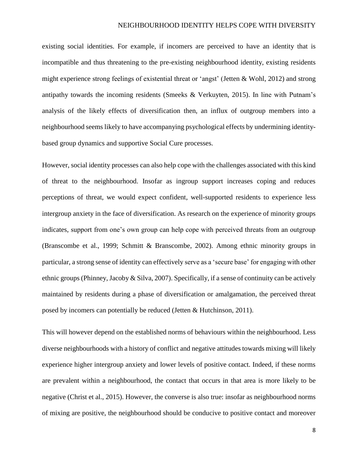existing social identities. For example, if incomers are perceived to have an identity that is incompatible and thus threatening to the pre-existing neighbourhood identity, existing residents might experience strong feelings of existential threat or 'angst' (Jetten & Wohl, 2012) and strong antipathy towards the incoming residents (Smeeks & Verkuyten, 2015). In line with Putnam's analysis of the likely effects of diversification then, an influx of outgroup members into a neighbourhood seems likely to have accompanying psychological effects by undermining identitybased group dynamics and supportive Social Cure processes.

However, social identity processes can also help cope with the challenges associated with this kind of threat to the neighbourhood. Insofar as ingroup support increases coping and reduces perceptions of threat, we would expect confident, well-supported residents to experience less intergroup anxiety in the face of diversification. As research on the experience of minority groups indicates, support from one's own group can help cope with perceived threats from an outgroup (Branscombe et al., 1999; Schmitt & Branscombe, 2002). Among ethnic minority groups in particular, a strong sense of identity can effectively serve as a 'secure base' for engaging with other ethnic groups (Phinney, Jacoby & Silva, 2007). Specifically, if a sense of continuity can be actively maintained by residents during a phase of diversification or amalgamation, the perceived threat posed by incomers can potentially be reduced (Jetten & Hutchinson, 2011).

This will however depend on the established norms of behaviours within the neighbourhood. Less diverse neighbourhoods with a history of conflict and negative attitudes towards mixing will likely experience higher intergroup anxiety and lower levels of positive contact. Indeed, if these norms are prevalent within a neighbourhood, the contact that occurs in that area is more likely to be negative (Christ et al., 2015). However, the converse is also true: insofar as neighbourhood norms of mixing are positive, the neighbourhood should be conducive to positive contact and moreover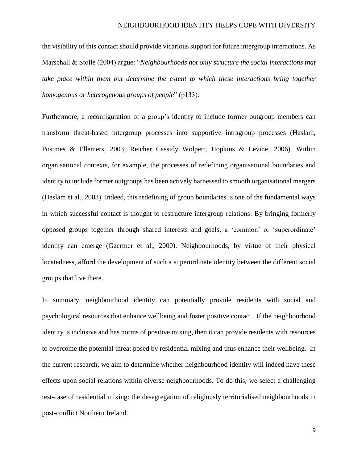the visibility of this contact should provide vicarious support for future intergroup interactions. As Marschall & Stolle (2004) argue: "*Neighbourhoods not only structure the social interactions that take place within them but determine the extent to which these interactions bring together homogenous or heterogenous groups of people*" (p133).

Furthermore, a reconfiguration of a group's identity to include former outgroup members can transform threat-based intergroup processes into supportive intragroup processes (Haslam, Postmes & Ellemers, 2003; Reicher Cassidy Wolpert, Hopkins & Levine, 2006). Within organisational contexts, for example, the processes of redefining organisational boundaries and identity to include former outgroups has been actively harnessed to smooth organisational mergers (Haslam et al., 2003). Indeed, this redefining of group boundaries is one of the fundamental ways in which successful contact is thought to restructure intergroup relations. By bringing formerly opposed groups together through shared interests and goals, a 'common' or 'superordinate' identity can emerge (Gaertner et al., 2000). Neighbourhoods, by virtue of their physical locatedness, afford the development of such a superordinate identity between the different social groups that live there.

In summary, neighbourhood identity can potentially provide residents with social and psychological resources that enhance wellbeing and foster positive contact. If the neighbourhood identity is inclusive and has norms of positive mixing, then it can provide residents with resources to overcome the potential threat posed by residential mixing and thus enhance their wellbeing. In the current research, we aim to determine whether neighbourhood identity will indeed have these effects upon social relations within diverse neighbourhoods. To do this, we select a challenging test-case of residential mixing: the desegregation of religiously territorialised neighbourhoods in post-conflict Northern Ireland.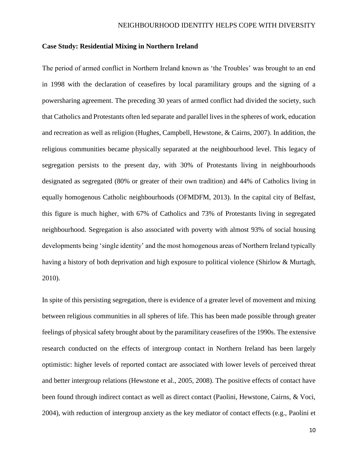### **Case Study: Residential Mixing in Northern Ireland**

The period of armed conflict in Northern Ireland known as 'the Troubles' was brought to an end in 1998 with the declaration of ceasefires by local paramilitary groups and the signing of a powersharing agreement. The preceding 30 years of armed conflict had divided the society, such that Catholics and Protestants often led separate and parallel lives in the spheres of work, education and recreation as well as religion (Hughes, Campbell, Hewstone, & Cairns, 2007). In addition, the religious communities became physically separated at the neighbourhood level. This legacy of segregation persists to the present day, with 30% of Protestants living in neighbourhoods designated as segregated (80% or greater of their own tradition) and 44% of Catholics living in equally homogenous Catholic neighbourhoods (OFMDFM, 2013). In the capital city of Belfast, this figure is much higher, with 67% of Catholics and 73% of Protestants living in segregated neighbourhood. Segregation is also associated with poverty with almost 93% of social housing developments being 'single identity' and the most homogenous areas of Northern Ireland typically having a history of both deprivation and high exposure to political violence (Shirlow & Murtagh, 2010).

In spite of this persisting segregation, there is evidence of a greater level of movement and mixing between religious communities in all spheres of life. This has been made possible through greater feelings of physical safety brought about by the paramilitary ceasefires of the 1990s. The extensive research conducted on the effects of intergroup contact in Northern Ireland has been largely optimistic: higher levels of reported contact are associated with lower levels of perceived threat and better intergroup relations (Hewstone et al., 2005, 2008). The positive effects of contact have been found through indirect contact as well as direct contact (Paolini, Hewstone, Cairns, & Voci, 2004), with reduction of intergroup anxiety as the key mediator of contact effects (e.g., Paolini et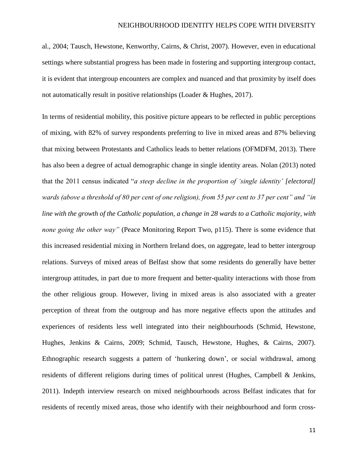al., 2004; Tausch, Hewstone, Kenworthy, Cairns, & Christ, 2007). However, even in educational settings where substantial progress has been made in fostering and supporting intergroup contact, it is evident that intergroup encounters are complex and nuanced and that proximity by itself does not automatically result in positive relationships (Loader & Hughes, 2017).

In terms of residential mobility, this positive picture appears to be reflected in public perceptions of mixing, with 82% of survey respondents preferring to live in mixed areas and 87% believing that mixing between Protestants and Catholics leads to better relations (OFMDFM, 2013). There has also been a degree of actual demographic change in single identity areas. Nolan (2013) noted that the 2011 census indicated "*a steep decline in the proportion of 'single identity' [electoral] wards (above a threshold of 80 per cent of one religion), from 55 per cent to 37 per cent" and "in line with the growth of the Catholic population, a change in 28 wards to a Catholic majority, with none going the other way"* (Peace Monitoring Report Two, p115). There is some evidence that this increased residential mixing in Northern Ireland does, on aggregate, lead to better intergroup relations. Surveys of mixed areas of Belfast show that some residents do generally have better intergroup attitudes, in part due to more frequent and better-quality interactions with those from the other religious group. However, living in mixed areas is also associated with a greater perception of threat from the outgroup and has more negative effects upon the attitudes and experiences of residents less well integrated into their neighbourhoods (Schmid, Hewstone, Hughes, Jenkins & Cairns, 2009; Schmid, Tausch, Hewstone, Hughes, & Cairns, 2007). Ethnographic research suggests a pattern of 'hunkering down', or social withdrawal, among residents of different religions during times of political unrest (Hughes, Campbell & Jenkins, 2011). Indepth interview research on mixed neighbourhoods across Belfast indicates that for residents of recently mixed areas, those who identify with their neighbourhood and form cross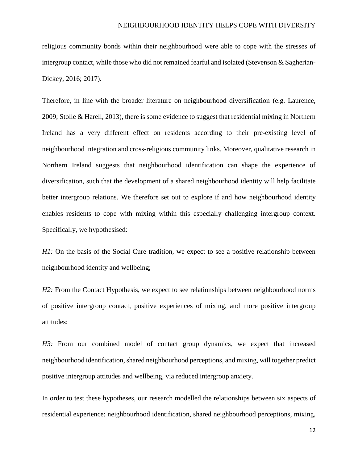religious community bonds within their neighbourhood were able to cope with the stresses of intergroup contact, while those who did not remained fearful and isolated (Stevenson  $\&$  Sagherian-Dickey, 2016; 2017).

Therefore, in line with the broader literature on neighbourhood diversification (e.g. Laurence, 2009; Stolle & Harell, 2013), there is some evidence to suggest that residential mixing in Northern Ireland has a very different effect on residents according to their pre-existing level of neighbourhood integration and cross-religious community links. Moreover, qualitative research in Northern Ireland suggests that neighbourhood identification can shape the experience of diversification, such that the development of a shared neighbourhood identity will help facilitate better intergroup relations. We therefore set out to explore if and how neighbourhood identity enables residents to cope with mixing within this especially challenging intergroup context. Specifically, we hypothesised:

*H1*: On the basis of the Social Cure tradition, we expect to see a positive relationship between neighbourhood identity and wellbeing;

*H2*: From the Contact Hypothesis, we expect to see relationships between neighbourhood norms of positive intergroup contact, positive experiences of mixing, and more positive intergroup attitudes;

*H3:* From our combined model of contact group dynamics, we expect that increased neighbourhood identification, shared neighbourhood perceptions, and mixing, will together predict positive intergroup attitudes and wellbeing, via reduced intergroup anxiety.

In order to test these hypotheses, our research modelled the relationships between six aspects of residential experience: neighbourhood identification, shared neighbourhood perceptions, mixing,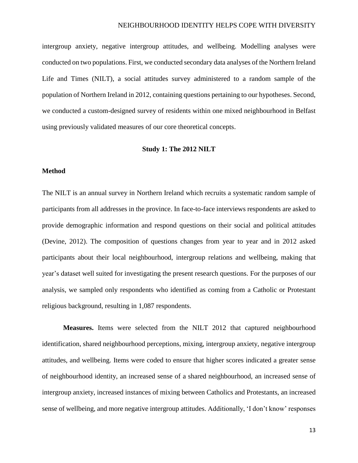intergroup anxiety, negative intergroup attitudes, and wellbeing. Modelling analyses were conducted on two populations. First, we conducted secondary data analyses of the Northern Ireland Life and Times (NILT), a social attitudes survey administered to a random sample of the population of Northern Ireland in 2012, containing questions pertaining to our hypotheses. Second, we conducted a custom-designed survey of residents within one mixed neighbourhood in Belfast using previously validated measures of our core theoretical concepts.

# **Study 1: The 2012 NILT**

## **Method**

The NILT is an annual survey in Northern Ireland which recruits a systematic random sample of participants from all addresses in the province. In face-to-face interviews respondents are asked to provide demographic information and respond questions on their social and political attitudes (Devine, 2012). The composition of questions changes from year to year and in 2012 asked participants about their local neighbourhood, intergroup relations and wellbeing, making that year's dataset well suited for investigating the present research questions. For the purposes of our analysis, we sampled only respondents who identified as coming from a Catholic or Protestant religious background, resulting in 1,087 respondents.

**Measures.** Items were selected from the NILT 2012 that captured neighbourhood identification, shared neighbourhood perceptions, mixing, intergroup anxiety, negative intergroup attitudes, and wellbeing. Items were coded to ensure that higher scores indicated a greater sense of neighbourhood identity, an increased sense of a shared neighbourhood, an increased sense of intergroup anxiety, increased instances of mixing between Catholics and Protestants, an increased sense of wellbeing, and more negative intergroup attitudes. Additionally, 'I don't know' responses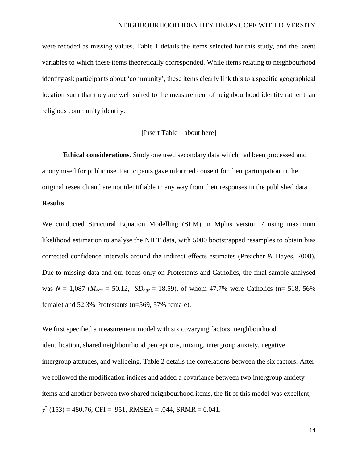were recoded as missing values. Table 1 details the items selected for this study, and the latent variables to which these items theoretically corresponded. While items relating to neighbourhood identity ask participants about 'community', these items clearly link this to a specific geographical location such that they are well suited to the measurement of neighbourhood identity rather than religious community identity.

### [Insert Table 1 about here]

**Ethical considerations.** Study one used secondary data which had been processed and anonymised for public use. Participants gave informed consent for their participation in the original research and are not identifiable in any way from their responses in the published data.

# **Results**

We conducted Structural Equation Modelling (SEM) in Mplus version 7 using maximum likelihood estimation to analyse the NILT data, with 5000 bootstrapped resamples to obtain bias corrected confidence intervals around the indirect effects estimates (Preacher & Hayes, 2008). Due to missing data and our focus only on Protestants and Catholics, the final sample analysed was  $N = 1,087$  ( $M_{age} = 50.12$ ,  $SD_{age} = 18.59$ ), of whom 47.7% were Catholics (n= 518, 56%) female) and 52.3% Protestants (n=569, 57% female).

We first specified a measurement model with six covarying factors: neighbourhood identification, shared neighbourhood perceptions, mixing, intergroup anxiety, negative intergroup attitudes, and wellbeing. Table 2 details the correlations between the six factors. After we followed the modification indices and added a covariance between two intergroup anxiety items and another between two shared neighbourhood items, the fit of this model was excellent,  $\chi^2$  (153) = 480.76, CFI = .951, RMSEA = .044, SRMR = 0.041.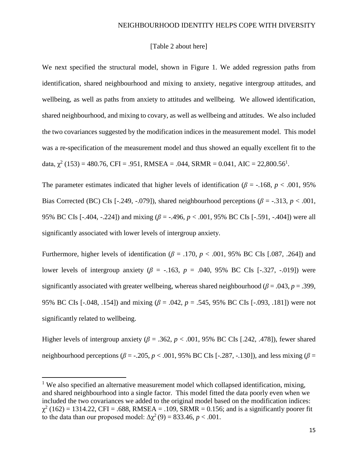### [Table 2 about here]

We next specified the structural model, shown in Figure 1. We added regression paths from identification, shared neighbourhood and mixing to anxiety, negative intergroup attitudes, and wellbeing, as well as paths from anxiety to attitudes and wellbeing. We allowed identification, shared neighbourhood, and mixing to covary, as well as wellbeing and attitudes. We also included the two covariances suggested by the modification indices in the measurement model. This model was a re-specification of the measurement model and thus showed an equally excellent fit to the data,  $\chi^2$  (153) = 480.76, CFI = .951, RMSEA = .044, SRMR = 0.041, AIC = 22,800.56<sup>1</sup>.

The parameter estimates indicated that higher levels of identification ( $\beta$  = -.168, *p* < .001, 95% Bias Corrected (BC) CIs [-.249, -.079]), shared neighbourhood perceptions ( $\beta$  = -.313,  $p < .001$ , 95% BC CIs [-.404, -.224]) and mixing (*β* = -.496, *p* < .001, 95% BC CIs [-.591, -.404]) were all significantly associated with lower levels of intergroup anxiety.

Furthermore, higher levels of identification ( $\beta$  = .170,  $p$  < .001, 95% BC CIs [.087, .264]) and lower levels of intergroup anxiety ( $\beta$  = -.163,  $p$  = .040, 95% BC CIs [-.327, -.019]) were significantly associated with greater wellbeing, whereas shared neighbourhood ( $\beta$  = .043, *p* = .399, 95% BC CIs [-.048, .154]) and mixing (*β* = .042, *p* = .545, 95% BC CIs [-.093, .181]) were not significantly related to wellbeing.

Higher levels of intergroup anxiety ( $\beta$  = .362,  $p$  < .001, 95% BC CIs [.242, .478]), fewer shared neighbourhood perceptions ( $\beta$  = -.205,  $p$  < .001, 95% BC CIs [-.287, -.130]), and less mixing ( $\beta$  =

 $\overline{\phantom{a}}$ 

 $1$  We also specified an alternative measurement model which collapsed identification, mixing, and shared neighbourhood into a single factor. This model fitted the data poorly even when we included the two covariances we added to the original model based on the modification indices:  $\chi^2$  (162) = 1314.22, CFI = .688, RMSEA = .109, SRMR = 0.156; and is a significantly poorer fit to the data than our proposed model:  $\Delta \chi^2(9) = 833.46$ ,  $p < .001$ .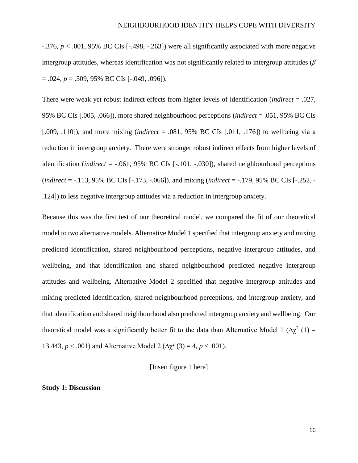-.376, *p* < .001, 95% BC CIs [-.498, -.263]) were all significantly associated with more negative intergroup attitudes, whereas identification was not significantly related to intergroup attitudes (*β*  = .024, *p* = .509, 95% BC CIs [-.049, .096]).

There were weak yet robust indirect effects from higher levels of identification (*indirect* = .027, 95% BC CIs [.005, .066]), more shared neighbourhood perceptions (*indirect* = .051, 95% BC CIs [.009, .110]), and more mixing (*indirect* = .081, 95% BC CIs [.011, .176]) to wellbeing via a reduction in intergroup anxiety. There were stronger robust indirect effects from higher levels of identification (*indirect* = -.061, 95% BC CIs [-.101, -.030]), shared neighbourhood perceptions (*indirect* = -.113, 95% BC CIs [-.173, -.066]), and mixing (*indirect* = -.179, 95% BC CIs [-.252, - .124]) to less negative intergroup attitudes via a reduction in intergroup anxiety.

Because this was the first test of our theoretical model, we compared the fit of our theoretical model to two alternative models. Alternative Model 1 specified that intergroup anxiety and mixing predicted identification, shared neighbourhood perceptions, negative intergroup attitudes, and wellbeing, and that identification and shared neighbourhood predicted negative intergroup attitudes and wellbeing. Alternative Model 2 specified that negative intergroup attitudes and mixing predicted identification, shared neighbourhood perceptions, and intergroup anxiety, and that identification and shared neighbourhood also predicted intergroup anxiety and wellbeing. Our theoretical model was a significantly better fit to the data than Alternative Model 1 ( $\Delta \chi^2$  (1) = 13.443,  $p < .001$ ) and Alternative Model 2 ( $\Delta \chi^2$  (3) = 4,  $p < .001$ ).

[Insert figure 1 here]

**Study 1: Discussion**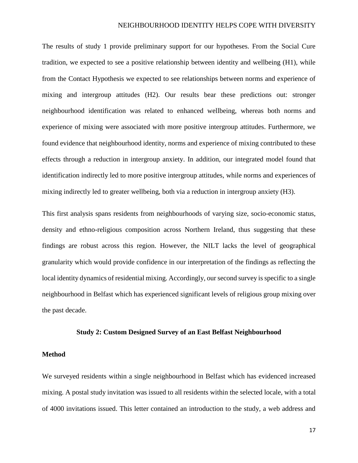The results of study 1 provide preliminary support for our hypotheses. From the Social Cure tradition, we expected to see a positive relationship between identity and wellbeing (H1), while from the Contact Hypothesis we expected to see relationships between norms and experience of mixing and intergroup attitudes (H2). Our results bear these predictions out: stronger neighbourhood identification was related to enhanced wellbeing, whereas both norms and experience of mixing were associated with more positive intergroup attitudes. Furthermore, we found evidence that neighbourhood identity, norms and experience of mixing contributed to these effects through a reduction in intergroup anxiety. In addition, our integrated model found that identification indirectly led to more positive intergroup attitudes, while norms and experiences of mixing indirectly led to greater wellbeing, both via a reduction in intergroup anxiety (H3).

This first analysis spans residents from neighbourhoods of varying size, socio-economic status, density and ethno-religious composition across Northern Ireland, thus suggesting that these findings are robust across this region. However, the NILT lacks the level of geographical granularity which would provide confidence in our interpretation of the findings as reflecting the local identity dynamics of residential mixing. Accordingly, our second survey is specific to a single neighbourhood in Belfast which has experienced significant levels of religious group mixing over the past decade.

#### **Study 2: Custom Designed Survey of an East Belfast Neighbourhood**

### **Method**

We surveyed residents within a single neighbourhood in Belfast which has evidenced increased mixing. A postal study invitation was issued to all residents within the selected locale, with a total of 4000 invitations issued. This letter contained an introduction to the study, a web address and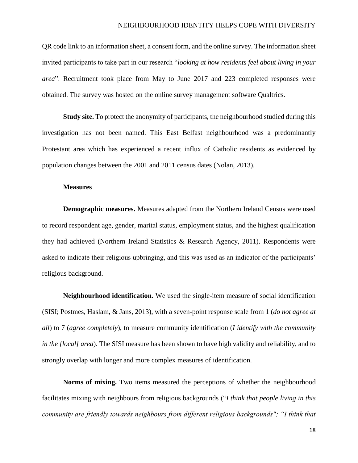QR code link to an information sheet, a consent form, and the online survey. The information sheet invited participants to take part in our research "*looking at how residents feel about living in your area*". Recruitment took place from May to June 2017 and 223 completed responses were obtained. The survey was hosted on the online survey management software Qualtrics.

**Study site.** To protect the anonymity of participants, the neighbourhood studied during this investigation has not been named. This East Belfast neighbourhood was a predominantly Protestant area which has experienced a recent influx of Catholic residents as evidenced by population changes between the 2001 and 2011 census dates (Nolan, 2013).

#### **Measures**

**Demographic measures.** Measures adapted from the Northern Ireland Census were used to record respondent age, gender, marital status, employment status, and the highest qualification they had achieved (Northern Ireland Statistics & Research Agency, 2011). Respondents were asked to indicate their religious upbringing, and this was used as an indicator of the participants' religious background.

**Neighbourhood identification.** We used the single-item measure of social identification (SISI; Postmes, Haslam, & Jans, 2013), with a seven-point response scale from 1 (*do not agree at all*) to 7 (*agree completely*), to measure community identification (*I identify with the community in the [local] area*). The SISI measure has been shown to have high validity and reliability, and to strongly overlap with longer and more complex measures of identification.

**Norms of mixing.** Two items measured the perceptions of whether the neighbourhood facilitates mixing with neighbours from religious backgrounds ("*I think that people living in this community are friendly towards neighbours from different religious backgrounds"; "I think that*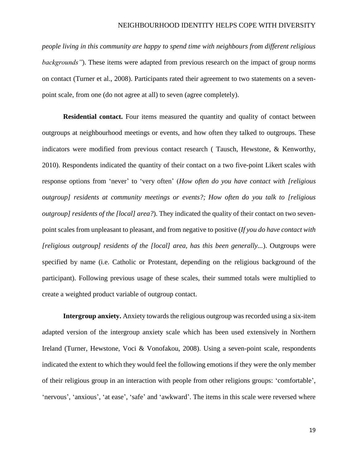*people living in this community are happy to spend time with neighbours from different religious backgrounds"*). These items were adapted from previous research on the impact of group norms on contact (Turner et al., 2008). Participants rated their agreement to two statements on a sevenpoint scale, from one (do not agree at all) to seven (agree completely).

**Residential contact.** Four items measured the quantity and quality of contact between outgroups at neighbourhood meetings or events, and how often they talked to outgroups. These indicators were modified from previous contact research ( Tausch, Hewstone, & Kenworthy, 2010). Respondents indicated the quantity of their contact on a two five-point Likert scales with response options from 'never' to 'very often' (*How often do you have contact with [religious outgroup] residents at community meetings or events?; How often do you talk to [religious outgroup] residents of the [local] area?*). They indicated the quality of their contact on two sevenpoint scales from unpleasant to pleasant, and from negative to positive (*If you do have contact with [religious outgroup] residents of the [local] area, has this been generally...*). Outgroups were specified by name (i.e. Catholic or Protestant, depending on the religious background of the participant). Following previous usage of these scales, their summed totals were multiplied to create a weighted product variable of outgroup contact.

**Intergroup anxiety.** Anxiety towards the religious outgroup was recorded using a six-item adapted version of the intergroup anxiety scale which has been used extensively in Northern Ireland (Turner, Hewstone, Voci & Vonofakou, 2008). Using a seven-point scale, respondents indicated the extent to which they would feel the following emotions if they were the only member of their religious group in an interaction with people from other religions groups: 'comfortable', 'nervous', 'anxious', 'at ease', 'safe' and 'awkward'. The items in this scale were reversed where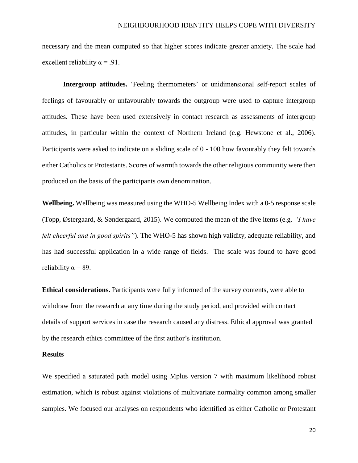necessary and the mean computed so that higher scores indicate greater anxiety. The scale had excellent reliability  $\alpha = .91$ .

**Intergroup attitudes.** 'Feeling thermometers' or unidimensional self-report scales of feelings of favourably or unfavourably towards the outgroup were used to capture intergroup attitudes. These have been used extensively in contact research as assessments of intergroup attitudes, in particular within the context of Northern Ireland (e.g. Hewstone et al., 2006). Participants were asked to indicate on a sliding scale of 0 - 100 how favourably they felt towards either Catholics or Protestants. Scores of warmth towards the other religious community were then produced on the basis of the participants own denomination.

**Wellbeing.** Wellbeing was measured using the WHO-5 Wellbeing Index with a 0-5 response scale (Topp, Østergaard, & Søndergaard, 2015). We computed the mean of the five items (e.g. *"I have felt cheerful and in good spirits"*). The WHO-5 has shown high validity, adequate reliability, and has had successful application in a wide range of fields. The scale was found to have good reliability  $\alpha = 89$ .

**Ethical considerations.** Participants were fully informed of the survey contents, were able to withdraw from the research at any time during the study period, and provided with contact details of support services in case the research caused any distress. Ethical approval was granted by the research ethics committee of the first author's institution.

#### **Results**

We specified a saturated path model using Mplus version 7 with maximum likelihood robust estimation, which is robust against violations of multivariate normality common among smaller samples. We focused our analyses on respondents who identified as either Catholic or Protestant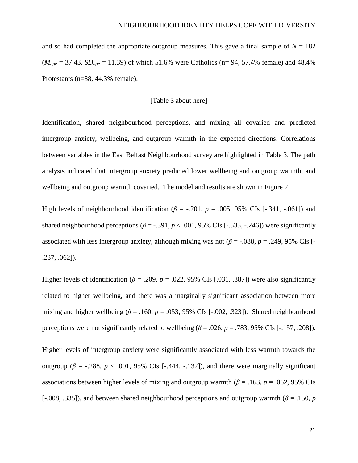and so had completed the appropriate outgroup measures. This gave a final sample of  $N = 182$  $(M_{age} = 37.43, SD_{age} = 11.39)$  of which 51.6% were Catholics (n= 94, 57.4% female) and 48.4% Protestants (n=88, 44.3% female).

### [Table 3 about here]

Identification, shared neighbourhood perceptions, and mixing all covaried and predicted intergroup anxiety, wellbeing, and outgroup warmth in the expected directions. Correlations between variables in the East Belfast Neighbourhood survey are highlighted in Table 3. The path analysis indicated that intergroup anxiety predicted lower wellbeing and outgroup warmth, and wellbeing and outgroup warmth covaried. The model and results are shown in Figure 2.

High levels of neighbourhood identification ( $\beta$  = -.201,  $p$  = .005, 95% CIs [-.341, -.061]) and shared neighbourhood perceptions ( $\beta$  = -.391,  $p$  < .001, 95% CIs [-.535, -.246]) were significantly associated with less intergroup anxiety, although mixing was not ( $\beta$  = -.088,  $p = .249$ , 95% CIs [-.237, .062]).

Higher levels of identification ( $\beta$  = .209,  $p$  = .022, 95% CIs [.031, .387]) were also significantly related to higher wellbeing, and there was a marginally significant association between more mixing and higher wellbeing ( $\beta$  = .160,  $p$  = .053, 95% CIs [-.002, .323]). Shared neighbourhood perceptions were not significantly related to wellbeing  $(\beta = .026, p = .783, 95\% \text{ CIs } [-.157, .208])$ .

Higher levels of intergroup anxiety were significantly associated with less warmth towards the outgroup ( $β = -.288$ ,  $p < .001$ , 95% CIs [-.444, -.132]), and there were marginally significant associations between higher levels of mixing and outgroup warmth ( $\beta$  = .163, *p* = .062, 95% CIs [-.008, .335]), and between shared neighbourhood perceptions and outgroup warmth (*β* = .150, *p*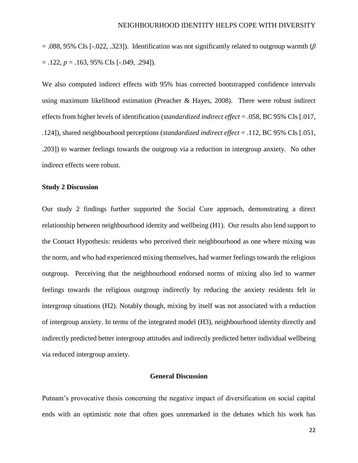= .088, 95% CIs [-.022, .323]). Identification was not significantly related to outgroup warmth (*β*   $= .122, p = .163, 95\% \text{ CIs } [-.049, .294]$ .

We also computed indirect effects with 95% bias corrected bootstrapped confidence intervals using maximum likelihood estimation (Preacher & Hayes, 2008). There were robust indirect effects from higher levels of identification (*standardized indirect effect* = .058, BC 95% CIs [.017, .124]), shared neighbourhood perceptions (*standardized indirect effect* = .112, BC 95% CIs [.051, .203]) to warmer feelings towards the outgroup via a reduction in intergroup anxiety. No other indirect effects were robust.

### **Study 2 Discussion**

Our study 2 findings further supported the Social Cure approach, demonstrating a direct relationship between neighbourhood identity and wellbeing (H1). Our results also lend support to the Contact Hypothesis: residents who perceived their neighbourhood as one where mixing was the norm, and who had experienced mixing themselves, had warmer feelings towards the religious outgroup. Perceiving that the neighbourhood endorsed norms of mixing also led to warmer feelings towards the religious outgroup indirectly by reducing the anxiety residents felt in intergroup situations (H2). Notably though, mixing by itself was not associated with a reduction of intergroup anxiety. In terms of the integrated model (H3), neighbourhood identity directly and indirectly predicted better intergroup attitudes and indirectly predicted better individual wellbeing via reduced intergroup anxiety.

# **General Discussion**

Putnam's provocative thesis concerning the negative impact of diversification on social capital ends with an optimistic note that often goes unremarked in the debates which his work has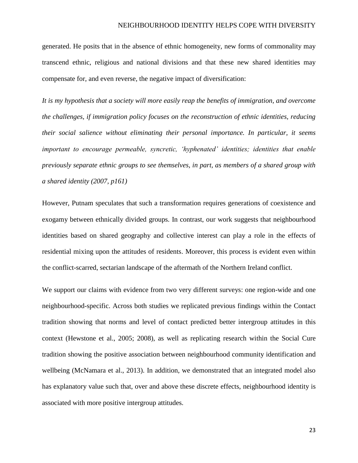generated. He posits that in the absence of ethnic homogeneity, new forms of commonality may transcend ethnic, religious and national divisions and that these new shared identities may compensate for, and even reverse, the negative impact of diversification:

*It is my hypothesis that a society will more easily reap the benefits of immigration, and overcome the challenges, if immigration policy focuses on the reconstruction of ethnic identities, reducing their social salience without eliminating their personal importance. In particular, it seems important to encourage permeable, syncretic, 'hyphenated' identities; identities that enable previously separate ethnic groups to see themselves, in part, as members of a shared group with a shared identity (2007, p161)*

However, Putnam speculates that such a transformation requires generations of coexistence and exogamy between ethnically divided groups. In contrast, our work suggests that neighbourhood identities based on shared geography and collective interest can play a role in the effects of residential mixing upon the attitudes of residents. Moreover, this process is evident even within the conflict-scarred, sectarian landscape of the aftermath of the Northern Ireland conflict.

We support our claims with evidence from two very different surveys: one region-wide and one neighbourhood-specific. Across both studies we replicated previous findings within the Contact tradition showing that norms and level of contact predicted better intergroup attitudes in this context (Hewstone et al., 2005; 2008), as well as replicating research within the Social Cure tradition showing the positive association between neighbourhood community identification and wellbeing (McNamara et al., 2013). In addition, we demonstrated that an integrated model also has explanatory value such that, over and above these discrete effects, neighbourhood identity is associated with more positive intergroup attitudes.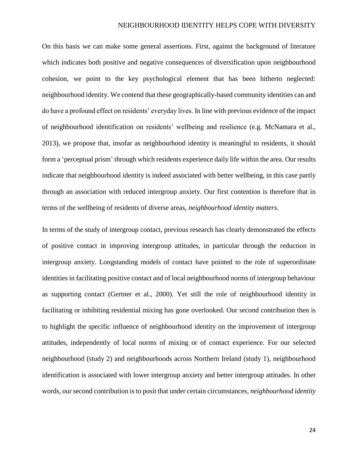On this basis we can make some general assertions. First, against the background of literature which indicates both positive and negative consequences of diversification upon neighbourhood cohesion, we point to the key psychological element that has been hitherto neglected: neighbourhood identity. We contend that these geographically-based community identities can and do have a profound effect on residents' everyday lives. In line with previous evidence of the impact of neighbourhood identification on residents' wellbeing and resilience (e.g. McNamara et al., 2013), we propose that, insofar as neighbourhood identity is meaningful to residents, it should form a 'perceptual prism' through which residents experience daily life within the area. Our results indicate that neighbourhood identity is indeed associated with better wellbeing, in this case partly through an association with reduced intergroup anxiety. Our first contention is therefore that in terms of the wellbeing of residents of diverse areas, *neighbourhood identity matters*.

In terms of the study of intergroup contact, previous research has clearly demonstrated the effects of positive contact in improving intergroup attitudes, in particular through the reduction in intergroup anxiety. Longstanding models of contact have pointed to the role of superordinate identities in facilitating positive contact and of local neighbourhood norms of intergroup behaviour as supporting contact (Gertner et al., 2000). Yet still the role of neighbourhood identity in facilitating or inhibiting residential mixing has gone overlooked. Our second contribution then is to highlight the specific influence of neighbourhood identity on the improvement of intergroup attitudes, independently of local norms of mixing or of contact experience. For our selected neighbourhood (study 2) and neighbourhoods across Northern Ireland (study 1), neighbourhood identification is associated with lower intergroup anxiety and better intergroup attitudes. In other words, our second contribution is to posit that under certain circumstances, *neighbourhood identity*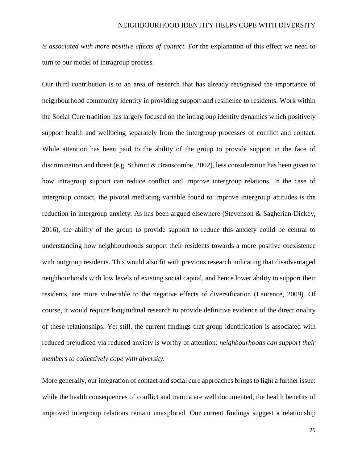*is associated with more positive effects of contact*. For the explanation of this effect we need to turn to our model of intragroup process.

Our third contribution is to an area of research that has already recognised the importance of neighbourhood community identity in providing support and resilience to residents. Work within the Social Cure tradition has largely focused on the intragroup identity dynamics which positively support health and wellbeing separately from the intergroup processes of conflict and contact. While attention has been paid to the ability of the group to provide support in the face of discrimination and threat (e.g. Schmitt & Branscombe, 2002), less consideration has been given to how intragroup support can reduce conflict and improve intergroup relations. In the case of intergroup contact, the pivotal mediating variable found to improve intergroup attitudes is the reduction in intergroup anxiety. As has been argued elsewhere (Stevenson & Sagherian-Dickey, 2016), the ability of the group to provide support to reduce this anxiety could be central to understanding how neighbourhoods support their residents towards a more positive coexistence with outgroup residents. This would also fit with previous research indicating that disadvantaged neighbourhoods with low levels of existing social capital, and hence lower ability to support their residents, are more vulnerable to the negative effects of diversification (Laurence, 2009). Of course, it would require longitudinal research to provide definitive evidence of the directionality of these relationships. Yet still, the current findings that group identification is associated with reduced prejudiced via reduced anxiety is worthy of attention: *neighbourhoods can support their members to collectively cope with diversity.*

More generally, our integration of contact and social cure approaches brings to light a further issue: while the health consequences of conflict and trauma are well documented, the health benefits of improved intergroup relations remain unexplored. Our current findings suggest a relationship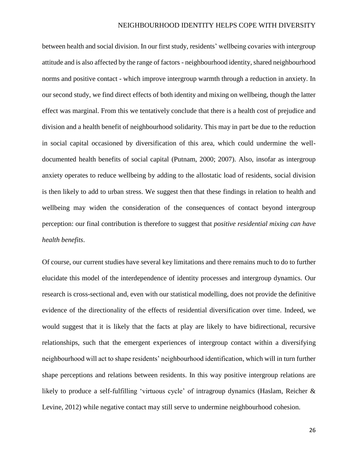between health and social division. In our first study, residents' wellbeing covaries with intergroup attitude and is also affected by the range of factors - neighbourhood identity, shared neighbourhood norms and positive contact - which improve intergroup warmth through a reduction in anxiety. In our second study, we find direct effects of both identity and mixing on wellbeing, though the latter effect was marginal. From this we tentatively conclude that there is a health cost of prejudice and division and a health benefit of neighbourhood solidarity. This may in part be due to the reduction in social capital occasioned by diversification of this area, which could undermine the welldocumented health benefits of social capital (Putnam, 2000; 2007). Also, insofar as intergroup anxiety operates to reduce wellbeing by adding to the allostatic load of residents, social division is then likely to add to urban stress. We suggest then that these findings in relation to health and wellbeing may widen the consideration of the consequences of contact beyond intergroup perception: our final contribution is therefore to suggest that *positive residential mixing can have health benefits*.

Of course, our current studies have several key limitations and there remains much to do to further elucidate this model of the interdependence of identity processes and intergroup dynamics. Our research is cross-sectional and, even with our statistical modelling, does not provide the definitive evidence of the directionality of the effects of residential diversification over time. Indeed, we would suggest that it is likely that the facts at play are likely to have bidirectional, recursive relationships, such that the emergent experiences of intergroup contact within a diversifying neighbourhood will act to shape residents' neighbourhood identification, which will in turn further shape perceptions and relations between residents. In this way positive intergroup relations are likely to produce a self-fulfilling 'virtuous cycle' of intragroup dynamics (Haslam, Reicher & Levine, 2012) while negative contact may still serve to undermine neighbourhood cohesion.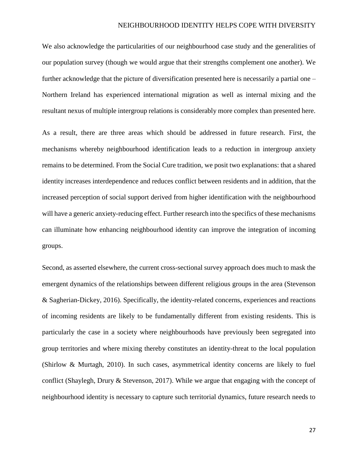We also acknowledge the particularities of our neighbourhood case study and the generalities of our population survey (though we would argue that their strengths complement one another). We further acknowledge that the picture of diversification presented here is necessarily a partial one – Northern Ireland has experienced international migration as well as internal mixing and the resultant nexus of multiple intergroup relations is considerably more complex than presented here.

As a result, there are three areas which should be addressed in future research. First, the mechanisms whereby neighbourhood identification leads to a reduction in intergroup anxiety remains to be determined. From the Social Cure tradition, we posit two explanations: that a shared identity increases interdependence and reduces conflict between residents and in addition, that the increased perception of social support derived from higher identification with the neighbourhood will have a generic anxiety-reducing effect. Further research into the specifics of these mechanisms can illuminate how enhancing neighbourhood identity can improve the integration of incoming groups.

Second, as asserted elsewhere, the current cross-sectional survey approach does much to mask the emergent dynamics of the relationships between different religious groups in the area (Stevenson & Sagherian-Dickey, 2016). Specifically, the identity-related concerns, experiences and reactions of incoming residents are likely to be fundamentally different from existing residents. This is particularly the case in a society where neighbourhoods have previously been segregated into group territories and where mixing thereby constitutes an identity-threat to the local population (Shirlow & Murtagh, 2010). In such cases, asymmetrical identity concerns are likely to fuel conflict (Shaylegh, Drury & Stevenson, 2017). While we argue that engaging with the concept of neighbourhood identity is necessary to capture such territorial dynamics, future research needs to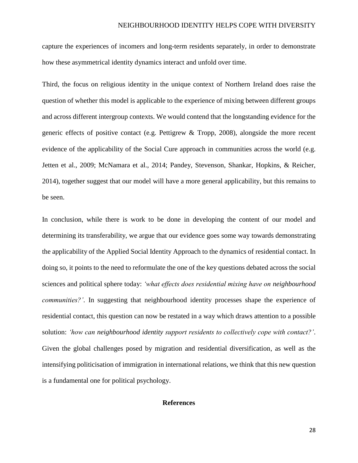capture the experiences of incomers and long-term residents separately, in order to demonstrate how these asymmetrical identity dynamics interact and unfold over time.

Third, the focus on religious identity in the unique context of Northern Ireland does raise the question of whether this model is applicable to the experience of mixing between different groups and across different intergroup contexts. We would contend that the longstanding evidence for the generic effects of positive contact (e.g. Pettigrew & Tropp, 2008), alongside the more recent evidence of the applicability of the Social Cure approach in communities across the world (e.g. Jetten et al., 2009; McNamara et al., 2014; Pandey, Stevenson, Shankar, Hopkins, & Reicher, 2014), together suggest that our model will have a more general applicability, but this remains to be seen.

In conclusion, while there is work to be done in developing the content of our model and determining its transferability, we argue that our evidence goes some way towards demonstrating the applicability of the Applied Social Identity Approach to the dynamics of residential contact. In doing so, it points to the need to reformulate the one of the key questions debated across the social sciences and political sphere today: *'what effects does residential mixing have on neighbourhood communities?'*. In suggesting that neighbourhood identity processes shape the experience of residential contact, this question can now be restated in a way which draws attention to a possible solution: *'how can neighbourhood identity support residents to collectively cope with contact?'*. Given the global challenges posed by migration and residential diversification, as well as the intensifying politicisation of immigration in international relations, we think that this new question is a fundamental one for political psychology.

### **References**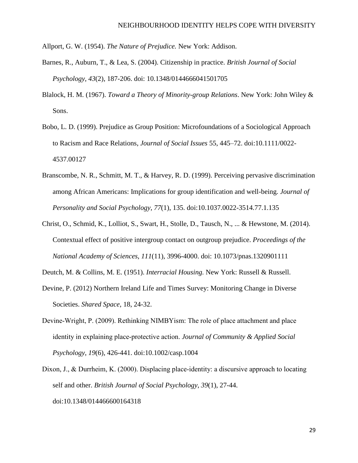Allport, G. W. (1954). *The Nature of Prejudice.* New York: Addison.

- Barnes, R., Auburn, T., & Lea, S. (2004). Citizenship in practice. *British Journal of Social Psychology*, *43*(2), 187-206. doi: 10.1348/0144666041501705
- Blalock, H. M. (1967). *Toward a Theory of Minority-group Relations*. New York: John Wiley & Sons.
- Bobo, L. D. (1999). Prejudice as Group Position: Microfoundations of a Sociological Approach to Racism and Race Relations, *Journal of Social Issues* 55, 445–72. doi:10.1111/0022- 4537.00127
- Branscombe, N. R., Schmitt, M. T., & Harvey, R. D. (1999). Perceiving pervasive discrimination among African Americans: Implications for group identification and well-being. *Journal of Personality and Social Psychology*, *77*(1), 135. doi[:10.1037.0022-3514.77.1.135](http://psycnet.apa.org/doi/10.1037/0022-3514.77.1.135)
- Christ, O., Schmid, K., Lolliot, S., Swart, H., Stolle, D., Tausch, N., ... & Hewstone, M. (2014). Contextual effect of positive intergroup contact on outgroup prejudice. *Proceedings of the National Academy of Sciences*, *111*(11), 3996-4000. doi: 10.1073/pnas.1320901111

Deutch, M. & Collins, M. E. (1951). *Interracial Housing.* New York: Russell & Russell.

- Devine, P. (2012) Northern Ireland Life and Times Survey: Monitoring Change in Diverse Societies. *Shared Space*, 18, 24-32.
- Devine‐Wright, P. (2009). Rethinking NIMBYism: The role of place attachment and place identity in explaining place‐protective action. *Journal of Community & Applied Social Psychology*, *19*(6), 426-441. doi:10.1002/casp.1004
- Dixon, J., & Durrheim, K. (2000). Displacing place-identity: a discursive approach to locating self and other. *British Journal of Social Psychology*, *39*(1), 27-44. doi:10.1348/014466600164318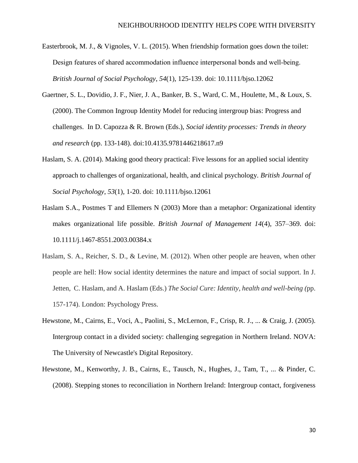- Easterbrook, M. J., & Vignoles, V. L. (2015). When friendship formation goes down the toilet: Design features of shared accommodation influence interpersonal bonds and well‐being. *British Journal of Social Psychology*, *54*(1), 125-139. doi: 10.1111/bjso.12062
- Gaertner, S. L., Dovidio, J. F., Nier, J. A., Banker, B. S., Ward, C. M., Houlette, M., & Loux, S. (2000). The Common Ingroup Identity Model for reducing intergroup bias: Progress and challenges. In D. Capozza & R. Brown (Eds.), *Social identity processes: Trends in theory and research* (pp. 133-148). [doi:10.4135.9781446218617.n9](http://psycnet.apa.org/doi/10.4135/9781446218617.n9)
- Haslam, S. A. (2014). Making good theory practical: Five lessons for an applied social identity approach to challenges of organizational, health, and clinical psychology. *British Journal of Social Psychology*, *53*(1), 1-20. doi: 10.1111/bjso.12061
- Haslam S.A., Postmes T and Ellemers N (2003) More than a metaphor: Organizational identity makes organizational life possible. *British Journal of Management 14*(4), 357–369. doi: 10.1111/j.1467-8551.2003.00384.x
- Haslam, S. A., Reicher, S. D., & Levine, M. (2012). When other people are heaven, when other people are hell: How social identity determines the nature and impact of social support. In J. Jetten, C. Haslam, and A. Haslam (Eds.) *The Social Cure: Identity, health and well-being (*pp. 157-174). London: Psychology Press.
- Hewstone, M., Cairns, E., Voci, A., Paolini, S., McLernon, F., Crisp, R. J., ... & Craig, J. (2005). Intergroup contact in a divided society: challenging segregation in Northern Ireland. NOVA: The University of Newcastle's Digital Repository.
- Hewstone, M., Kenworthy, J. B., Cairns, E., Tausch, N., Hughes, J., Tam, T., ... & Pinder, C. (2008). Stepping stones to reconciliation in Northern Ireland: Intergroup contact, forgiveness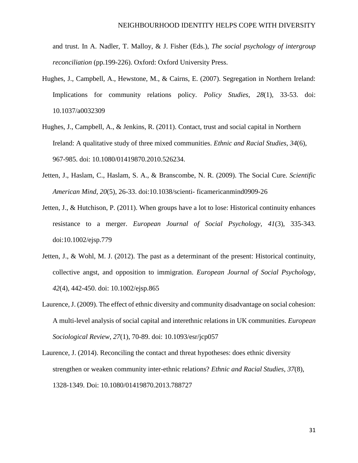and trust. In A. Nadler, T. Malloy, & J. Fisher (Eds.), *The social psychology of intergroup reconciliation* (pp.199-226). Oxford: Oxford University Press.

- Hughes, J., Campbell, A., Hewstone, M., & Cairns, E. (2007). Segregation in Northern Ireland: Implications for community relations policy. *Policy Studies*, *28*(1), 33-53. doi: 10.1037/a0032309
- Hughes, J., Campbell, A., & Jenkins, R. (2011). Contact, trust and social capital in Northern Ireland: A qualitative study of three mixed communities. *Ethnic and Racial Studies*, *34*(6), 967-985. doi: 10.1080/01419870.2010.526234.
- Jetten, J., Haslam, C., Haslam, S. A., & Branscombe, N. R. (2009). The Social Cure. *Scientific American Mind*, *20*(5), 26-33. doi:10.1038/scienti- ficamericanmind0909-26
- Jetten, J., & Hutchison, P. (2011). When groups have a lot to lose: Historical continuity enhances resistance to a merger. *European Journal of Social Psychology*, *41*(3), 335-343. doi:10.1002/ejsp.779
- Jetten, J., & Wohl, M. J. (2012). The past as a determinant of the present: Historical continuity, collective angst, and opposition to immigration. *European Journal of Social Psychology*, *42*(4), 442-450. doi: 10.1002/ejsp.865
- Laurence, J. (2009). The effect of ethnic diversity and community disadvantage on social cohesion: A multi-level analysis of social capital and interethnic relations in UK communities. *European Sociological Review*, *27*(1), 70-89. doi: [10.1093/esr/jcp057](https://doi.org/10.1093/esr/jcp057)
- Laurence, J. (2014). Reconciling the contact and threat hypotheses: does ethnic diversity strengthen or weaken community inter-ethnic relations? *Ethnic and Racial Studies*, *37*(8), 1328-1349. Doi: [10.1080/01419870.2013.788727](http://dx.doi.org/10.1080/01419870.2013.788727)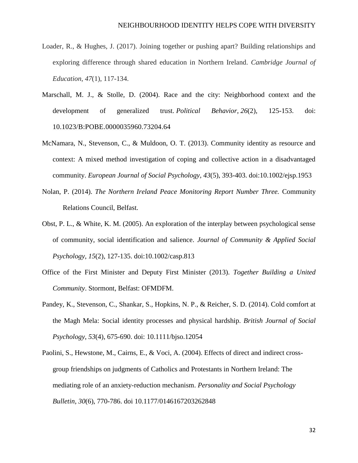- Loader, R., & Hughes, J. (2017). Joining together or pushing apart? Building relationships and exploring difference through shared education in Northern Ireland. *Cambridge Journal of Education*, *47*(1), 117-134.
- Marschall, M. J., & Stolle, D. (2004). Race and the city: Neighborhood context and the development of generalized trust. *Political Behavior*, *26*(2), 125-153. doi: 10.1023/B:POBE.0000035960.73204.64
- McNamara, N., Stevenson, C., & Muldoon, O. T. (2013). Community identity as resource and context: A mixed method investigation of coping and collective action in a disadvantaged community. *European Journal of Social Psychology*, *43*(5), 393-403. doi:10.1002/ejsp.1953
- Nolan, P. (2014). *The Northern Ireland Peace Monitoring Report Number Three.* Community Relations Council, Belfast*.*
- Obst, P. L., & White, K. M. (2005). An exploration of the interplay between psychological sense of community, social identification and salience. *Journal of Community & Applied Social Psychology*, *15*(2), 127-135. doi:10.1002/casp.813
- Office of the First Minister and Deputy First Minister (2013). *Together Building a United Community*. Stormont, Belfast: OFMDFM.
- Pandey, K., Stevenson, C., Shankar, S., Hopkins, N. P., & Reicher, S. D. (2014). Cold comfort at the Magh Mela: Social identity processes and physical hardship. *British Journal of Social Psychology*, *53*(4), 675-690. doi: 10.1111/bjso.12054
- Paolini, S., Hewstone, M., Cairns, E., & Voci, A. (2004). Effects of direct and indirect crossgroup friendships on judgments of Catholics and Protestants in Northern Ireland: The mediating role of an anxiety-reduction mechanism. *Personality and Social Psychology Bulletin*, *30*(6), 770-786. doi [10.1177/0146167203262848](https://doi.org/10.1177/0146167203262848)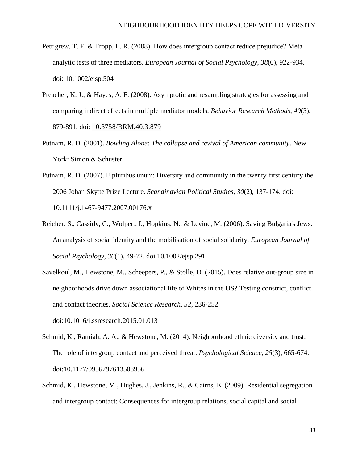- Pettigrew, T. F. & Tropp, L. R. (2008). How does intergroup contact reduce prejudice? Meta‐ analytic tests of three mediators. *European Journal of Social Psychology*, *38*(6), 922-934. doi: 10.1002/ejsp.504
- Preacher, K. J., & Hayes, A. F. (2008). Asymptotic and resampling strategies for assessing and comparing indirect effects in multiple mediator models. *Behavior Research Methods*, *40*(3), 879-891. doi: 10.3758/BRM.40.3.879
- Putnam, R. D. (2001). *Bowling Alone: The collapse and revival of American community*. New York: Simon & Schuster.
- Putnam, R. D. (2007). E pluribus unum: Diversity and community in the twenty‐first century the 2006 Johan Skytte Prize Lecture. *Scandinavian Political Studies*, *30*(2), 137-174. doi: 10.1111/j.1467-9477.2007.00176.x
- Reicher, S., Cassidy, C., Wolpert, I., Hopkins, N., & Levine, M. (2006). Saving Bulgaria's Jews: An analysis of social identity and the mobilisation of social solidarity. *European Journal of Social Psychology*, *36*(1), 49-72. doi 10.1002/ejsp.291
- Savelkoul, M., Hewstone, M., Scheepers, P., & Stolle, D. (2015). Does relative out-group size in neighborhoods drive down associational life of Whites in the US? Testing constrict, conflict and contact theories. *Social Science Research*, *52*, 236-252.

doi[:10.1016/j.ssresearch.2015.01.013](https://doi.org/10.1016/j.ssresearch.2015.01.013)

- Schmid, K., Ramiah, A. A., & Hewstone, M. (2014). Neighborhood ethnic diversity and trust: The role of intergroup contact and perceived threat. *Psychological Science*, *25*(3), 665-674. doi[:10.1177/0956797613508956](https://doi.org/10.1177/0956797613508956)
- Schmid, K., Hewstone, M., Hughes, J., Jenkins, R., & Cairns, E. (2009). Residential segregation and intergroup contact: Consequences for intergroup relations, social capital and social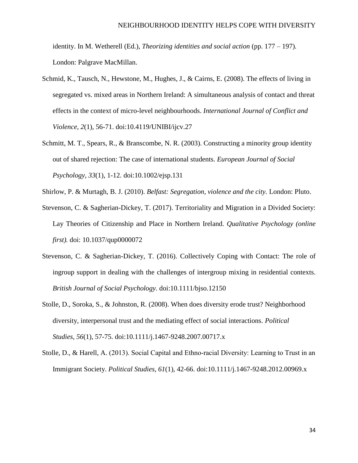identity. In M. Wetherell (Ed.), *Theorizing identities and social action* (pp. 177 – 197). London: Palgrave MacMillan.

- Schmid, K., Tausch, N., Hewstone, M., Hughes, J., & Cairns, E. (2008). The effects of living in segregated vs. mixed areas in Northern Ireland: A simultaneous analysis of contact and threat effects in the context of micro-level neighbourhoods. *International Journal of Conflict and Violence*, *2*(1), 56-71. doi:10.4119/UNIBI/ijcv.27
- Schmitt, M. T., Spears, R., & Branscombe, N. R. (2003). Constructing a minority group identity out of shared rejection: The case of international students. *European Journal of Social Psychology*, *33*(1), 1-12. doi:10.1002/ejsp.131
- Shirlow, P. & Murtagh, B. J. (2010). *Belfast: Segregation, violence and the city.* London: Pluto.
- Stevenson, C. & Sagherian-Dickey, T. (2017). Territoriality and Migration in a Divided Society: Lay Theories of Citizenship and Place in Northern Ireland. *Qualitative Psychology (online first).* doi: [10.1037/qup0000072](http://dx.doi.org/10.1037/qup0000072)
- Stevenson, C. & Sagherian-Dickey, T. (2016). Collectively Coping with Contact: The role of ingroup support in dealing with the challenges of intergroup mixing in residential contexts. *British Journal of Social Psychology.* doi:10.1111/bjso.12150
- Stolle, D., Soroka, S., & Johnston, R. (2008). When does diversity erode trust? Neighborhood diversity, interpersonal trust and the mediating effect of social interactions. *Political Studies*, *56*(1), 57-75. doi:10.1111/j.1467-9248.2007.00717.x
- Stolle, D., & Harell, A. (2013). Social Capital and Ethno-racial Diversity: Learning to Trust in an Immigrant Society. *Political Studies*, *61*(1), 42-66. doi:10.1111/j.1467-9248.2012.00969.x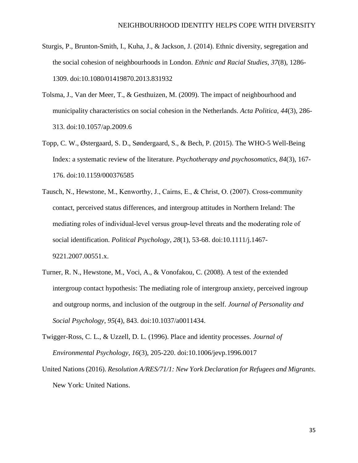- Sturgis, P., Brunton-Smith, I., Kuha, J., & Jackson, J. (2014). Ethnic diversity, segregation and the social cohesion of neighbourhoods in London. *Ethnic and Racial Studies*, *37*(8), 1286- 1309. doi[:10.1080/01419870.2013.831932](http://dx.doi.org/10.1080/01419870.2013.831932)
- Tolsma, J., Van der Meer, T., & Gesthuizen, M. (2009). The impact of neighbourhood and municipality characteristics on social cohesion in the Netherlands. *Acta Politica*, *44*(3), 286- 313. doi:10.1057/ap.2009.6
- Topp, C. W., Østergaard, S. D., Søndergaard, S., & Bech, P. (2015). The WHO-5 Well-Being Index: a systematic review of the literature. *Psychotherapy and psychosomatics*, *84*(3), 167- 176. doi:10.1159/000376585
- Tausch, N., Hewstone, M., Kenworthy, J., Cairns, E., & Christ, O. (2007). Cross-community contact, perceived status differences, and intergroup attitudes in Northern Ireland: The mediating roles of individual‐level versus group‐level threats and the moderating role of social identification. *Political Psychology*, *28*(1), 53-68. doi:10.1111/j.1467- 9221.2007.00551.x.
- Turner, R. N., Hewstone, M., Voci, A., & Vonofakou, C. (2008). A test of the extended intergroup contact hypothesis: The mediating role of intergroup anxiety, perceived ingroup and outgroup norms, and inclusion of the outgroup in the self. *Journal of Personality and Social Psychology*, *95*(4), 843. doi:10.1037/a0011434.
- Twigger-Ross, C. L., & Uzzell, D. L. (1996). Place and identity processes. *Journal of Environmental Psychology*, *16*(3), 205-220. doi[:10.1006/jevp.1996.0017](https://doi.org/10.1006/jevp.1996.0017)
- United Nations (2016). *Resolution A/RES/71/1: New York Declaration for Refugees and Migrants*. New York: United Nations.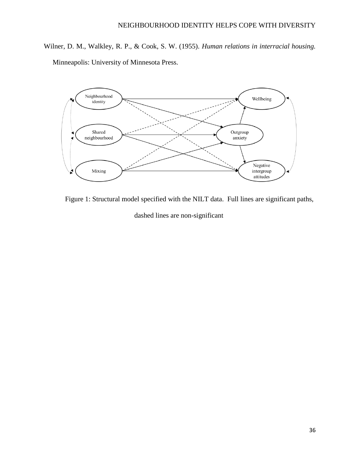Wilner, D. M., Walkley, R. P., & Cook, S. W. (1955). *Human relations in interracial housing.* Minneapolis: University of Minnesota Press.



Figure 1: Structural model specified with the NILT data. Full lines are significant paths, dashed lines are non-significant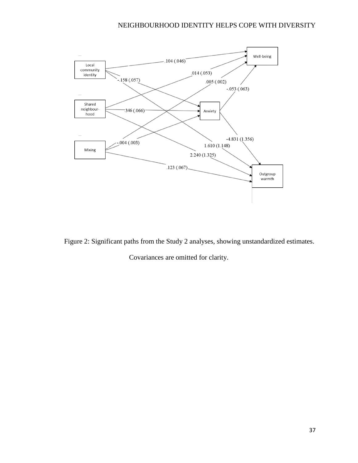

Figure 2: Significant paths from the Study 2 analyses, showing unstandardized estimates.

Covariances are omitted for clarity.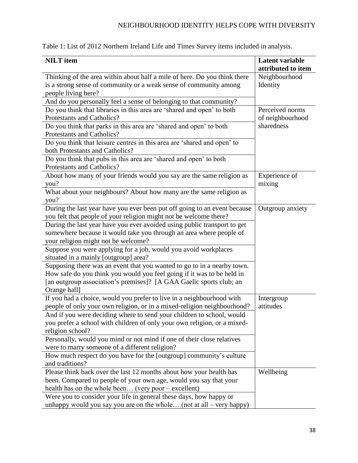| Table 1: List of 2012 Northern Ireland Life and Times Survey items included in analysis. |  |  |
|------------------------------------------------------------------------------------------|--|--|
|------------------------------------------------------------------------------------------|--|--|

| <b>NILT</b> item                                                                                                                                                                                                                            | <b>Latent variable</b><br>attributed to item |  |
|---------------------------------------------------------------------------------------------------------------------------------------------------------------------------------------------------------------------------------------------|----------------------------------------------|--|
| Thinking of the area within about half a mile of here. Do you think there<br>is a strong sense of community or a weak sense of community among<br>people living here?<br>And do you personally feel a sense of belonging to that community? | Neighbourhood<br>Identity                    |  |
| Do you think that libraries in this area are 'shared and open' to both                                                                                                                                                                      | Perceived norms                              |  |
| Protestants and Catholics?                                                                                                                                                                                                                  | of neighbourhood                             |  |
| Do you think that parks in this area are 'shared and open' to both                                                                                                                                                                          | sharedness                                   |  |
| Protestants and Catholics?                                                                                                                                                                                                                  |                                              |  |
| Do you think that leisure centres in this area are 'shared and open' to<br>both Protestants and Catholics?                                                                                                                                  |                                              |  |
| Do you think that pubs in this area are 'shared and open' to both<br>Protestants and Catholics?                                                                                                                                             |                                              |  |
| About how many of your friends would you say are the same religion as<br>you?                                                                                                                                                               | Experience of<br>mixing                      |  |
| What about your neighbours? About how many are the same religion as<br>you?                                                                                                                                                                 |                                              |  |
| During the last year have you ever been put off going to an event because                                                                                                                                                                   | Outgroup anxiety                             |  |
| you felt that people of your religion might not be welcome there?                                                                                                                                                                           |                                              |  |
| During the last year have you ever avoided using public transport to get<br>somewhere because it would take you through an area where people of<br>your religion might not be welcome?                                                      |                                              |  |
| Suppose you were applying for a job, would you avoid workplaces                                                                                                                                                                             |                                              |  |
| situated in a mainly [outgroup] area?                                                                                                                                                                                                       |                                              |  |
| Supposing there was an event that you wanted to go to in a nearby town.                                                                                                                                                                     |                                              |  |
| How safe do you think you would you feel going if it was to be held in                                                                                                                                                                      |                                              |  |
| [an outgroup association's premises]? [A GAA Gaelic sports club; an                                                                                                                                                                         |                                              |  |
| Orange hall]                                                                                                                                                                                                                                |                                              |  |
| If you had a choice, would you prefer to live in a neighbourhood with                                                                                                                                                                       | Intergroup                                   |  |
| people of only your own religion, or in a mixed-religion neighbourhood?                                                                                                                                                                     | attitudes                                    |  |
| And if you were deciding where to send your children to school, would                                                                                                                                                                       |                                              |  |
| you prefer a school with children of only your own religion, or a mixed-                                                                                                                                                                    |                                              |  |
| religion school?                                                                                                                                                                                                                            |                                              |  |
| Personally, would you mind or not mind if one of their close relatives                                                                                                                                                                      |                                              |  |
| were to marry someone of a different religion?                                                                                                                                                                                              |                                              |  |
| How much respect do you have for the [outgroup] community's culture                                                                                                                                                                         |                                              |  |
| and traditions?                                                                                                                                                                                                                             |                                              |  |
| Please think back over the last 12 months about how your health has                                                                                                                                                                         | Wellbeing                                    |  |
| been. Compared to people of your own age, would you say that your                                                                                                                                                                           |                                              |  |
| health has on the whole been (very poor – excellent)                                                                                                                                                                                        |                                              |  |
| Were you to consider your life in general these days, how happy or<br>unhappy would you say you are on the whole (not at all $-$ very happy)                                                                                                |                                              |  |